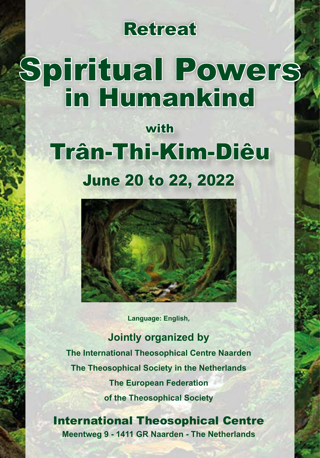### Retreat

# Spiritual Powers in Humankind

## with Trân-Thi-Kim-Diêu June 20 to 22, 2022



**Language: English,** 

**Jointly organized by The International Theosophical Centre Naarden The Theosophical Society in the Netherlands The European Federation of the Theosophical Society**

International Theosophical Centre **Meentweg 9 - 1411 GR Naarden - The Netherlands**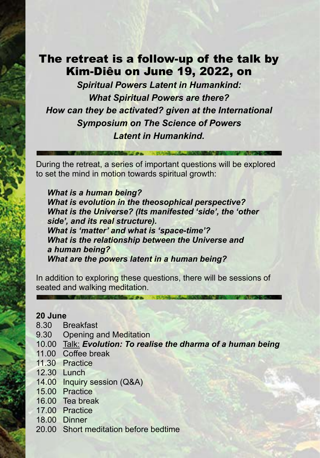#### The retreat is a follow-up of the talk by Kim-Diêu on June 19, 2022, on

*Spiritual Powers Latent in Humankind: What Spiritual Powers are there? How can they be activated? given at the International Symposium on The Science of Powers Latent in Humankind.*

During the retreat, a series of important questions will be explored to set the mind in motion towards spiritual growth:

*What is a human being? What is evolution in the theosophical perspective? What is the Universe? (Its manifested 'side', the 'other side', and its real structure). What is 'matter' and what is 'space-time'? What is the relationship between the Universe and a human being? What are the powers latent in a human being?*

In addition to exploring these questions, there will be sessions of seated and walking meditation.

#### **20 June**

- 8.30 Breakfast
- 9.30 Opening and Meditation
- 10.00 Talk: *Evolution: To realise the dharma of a human being*
- 11.00 Coffee break
- 11.30 Practice
- 12.30 Lunch
- 14.00 Inquiry session (Q&A)
- 15.00 Practice
- 16.00 Tea break
- 17.00 Practice
- 18.00 Dinner
- 20.00 Short meditation before bedtime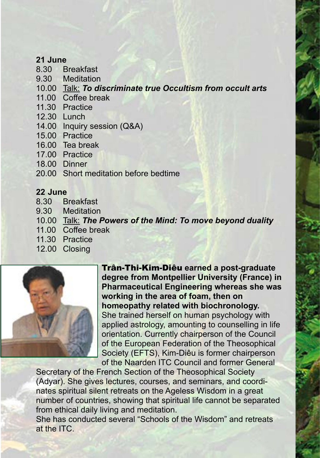#### **21 June**

- 8.30 Breakfast
- 9.30 Meditation
- 10.00 Talk: *To discriminate true Occultism from occult arts*
- 11.00 Coffee break
- 11.30 Practice
- 12.30 Lunch
- 14.00 Inquiry session (Q&A)
- 15.00 Practice
- 16.00 Tea break
- 17.00 Practice
- 18.00 Dinner
- 20.00 Short meditation before bedtime

#### **22 June**

- 8.30 Breakfast
- 9.30 Meditation
- 10.00 Talk: *The Powers of the Mind: To move beyond duality*
- 11.00 Coffee break
- 11.30 Practice
- 12.00 Closing



Trân-Thi-Kim-Diêu **earned a post-graduate degree from Montpellier University (France) in Pharmaceutical Engineering whereas she was working in the area of foam, then on homeopathy related with biochronology.**  She trained herself on human psychology with applied astrology, amounting to counselling in life orientation. Currently chairperson of the Council of the European Federation of the Theosophical Society (EFTS), Kim-Diêu is former chairperson of the Naarden ITC Council and former General

Secretary of the French Section of the Theosophical Society (Adyar). She gives lectures, courses, and seminars, and coordinates spiritual silent retreats on the Ageless Wisdom in a great number of countries, showing that spiritual life cannot be separated from ethical daily living and meditation.

She has conducted several "Schools of the Wisdom" and retreats at the ITC.